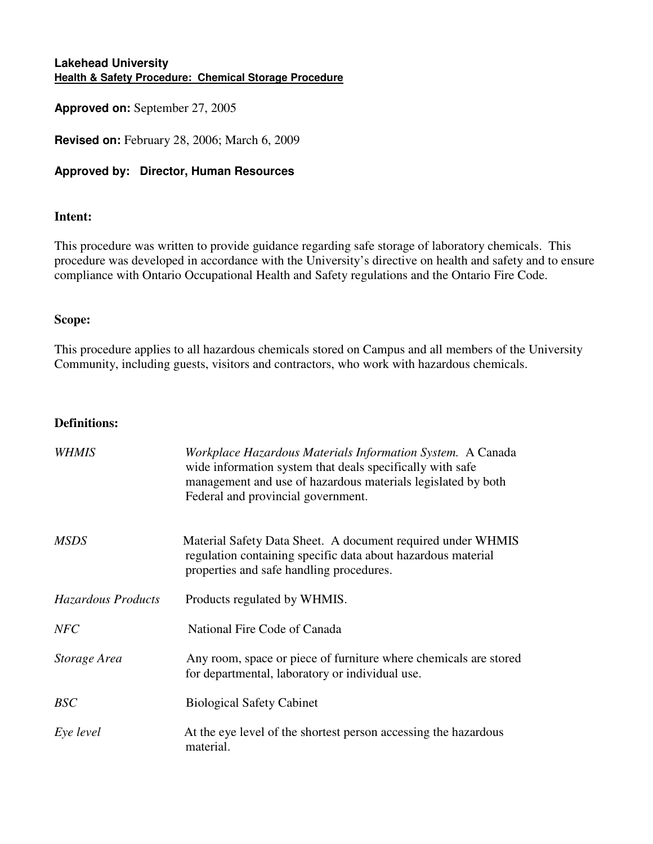### **Lakehead University Health & Safety Procedure: Chemical Storage Procedure**

**Approved on:** September 27, 2005

**Revised on:** February 28, 2006; March 6, 2009

### **Approved by: Director, Human Resources**

#### **Intent:**

This procedure was written to provide guidance regarding safe storage of laboratory chemicals. This procedure was developed in accordance with the University's directive on health and safety and to ensure compliance with Ontario Occupational Health and Safety regulations and the Ontario Fire Code.

#### **Scope:**

This procedure applies to all hazardous chemicals stored on Campus and all members of the University Community, including guests, visitors and contractors, who work with hazardous chemicals.

#### **Definitions:**

| WHMIS              | Workplace Hazardous Materials Information System. A Canada<br>wide information system that deals specifically with safe<br>management and use of hazardous materials legislated by both<br>Federal and provincial government. |
|--------------------|-------------------------------------------------------------------------------------------------------------------------------------------------------------------------------------------------------------------------------|
| <b>MSDS</b>        | Material Safety Data Sheet. A document required under WHMIS<br>regulation containing specific data about hazardous material<br>properties and safe handling procedures.                                                       |
| Hazardous Products | Products regulated by WHMIS.                                                                                                                                                                                                  |
| <b>NFC</b>         | National Fire Code of Canada                                                                                                                                                                                                  |
| Storage Area       | Any room, space or piece of furniture where chemicals are stored<br>for departmental, laboratory or individual use.                                                                                                           |
| <b>BSC</b>         | <b>Biological Safety Cabinet</b>                                                                                                                                                                                              |
| Eye level          | At the eye level of the shortest person accessing the hazardous<br>material.                                                                                                                                                  |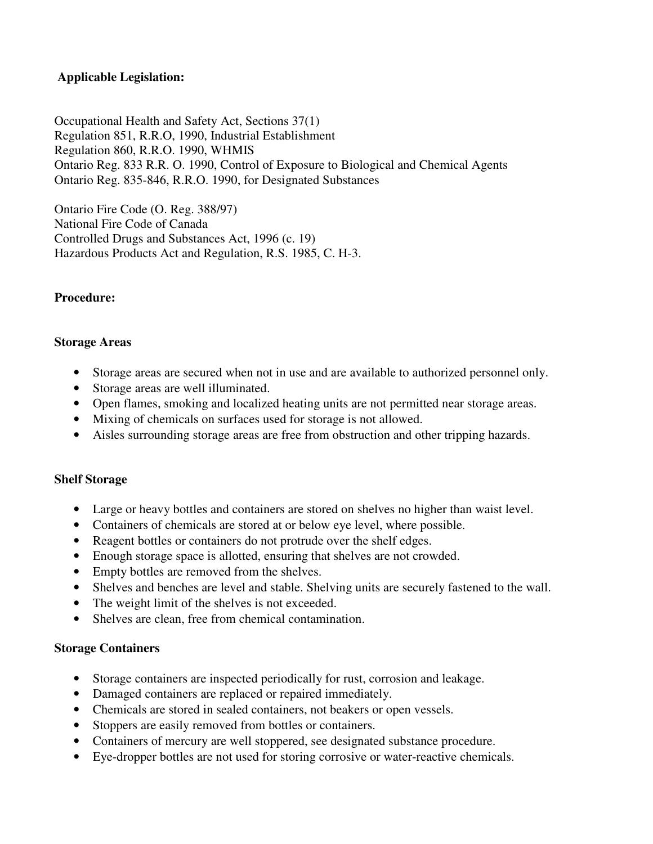### **Applicable Legislation:**

Occupational Health and Safety Act, Sections 37(1) Regulation 851, R.R.O, 1990, Industrial Establishment Regulation 860, R.R.O. 1990, WHMIS Ontario Reg. 833 R.R. O. 1990, Control of Exposure to Biological and Chemical Agents Ontario Reg. 835-846, R.R.O. 1990, for Designated Substances

Ontario Fire Code (O. Reg. 388/97) National Fire Code of Canada Controlled Drugs and Substances Act, 1996 (c. 19) Hazardous Products Act and Regulation, R.S. 1985, C. H-3.

#### **Procedure:**

#### **Storage Areas**

- Storage areas are secured when not in use and are available to authorized personnel only.
- Storage areas are well illuminated.
- Open flames, smoking and localized heating units are not permitted near storage areas.
- Mixing of chemicals on surfaces used for storage is not allowed.
- Aisles surrounding storage areas are free from obstruction and other tripping hazards.

#### **Shelf Storage**

- Large or heavy bottles and containers are stored on shelves no higher than waist level.
- Containers of chemicals are stored at or below eye level, where possible.
- Reagent bottles or containers do not protrude over the shelf edges.
- Enough storage space is allotted, ensuring that shelves are not crowded.
- Empty bottles are removed from the shelves.
- Shelves and benches are level and stable. Shelving units are securely fastened to the wall.
- The weight limit of the shelves is not exceeded.
- Shelves are clean, free from chemical contamination.

#### **Storage Containers**

- Storage containers are inspected periodically for rust, corrosion and leakage.
- Damaged containers are replaced or repaired immediately.
- Chemicals are stored in sealed containers, not beakers or open vessels.
- Stoppers are easily removed from bottles or containers.
- Containers of mercury are well stoppered, see designated substance procedure.
- Eye-dropper bottles are not used for storing corrosive or water-reactive chemicals.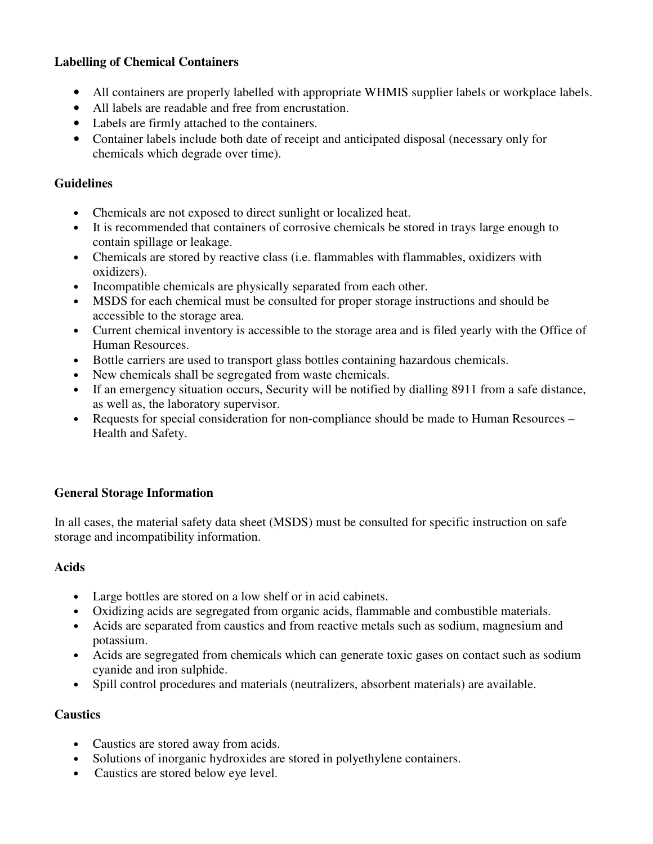## **Labelling of Chemical Containers**

- All containers are properly labelled with appropriate WHMIS supplier labels or workplace labels.
- All labels are readable and free from encrustation.
- Labels are firmly attached to the containers.
- Container labels include both date of receipt and anticipated disposal (necessary only for chemicals which degrade over time).

### **Guidelines**

- Chemicals are not exposed to direct sunlight or localized heat.
- It is recommended that containers of corrosive chemicals be stored in trays large enough to contain spillage or leakage.
- Chemicals are stored by reactive class (i.e. flammables with flammables, oxidizers with oxidizers).
- Incompatible chemicals are physically separated from each other.
- MSDS for each chemical must be consulted for proper storage instructions and should be accessible to the storage area.
- Current chemical inventory is accessible to the storage area and is filed yearly with the Office of Human Resources.
- Bottle carriers are used to transport glass bottles containing hazardous chemicals.
- New chemicals shall be segregated from waste chemicals.
- If an emergency situation occurs, Security will be notified by dialling 8911 from a safe distance, as well as, the laboratory supervisor.
- Requests for special consideration for non-compliance should be made to Human Resources Health and Safety.

### **General Storage Information**

In all cases, the material safety data sheet (MSDS) must be consulted for specific instruction on safe storage and incompatibility information.

### **Acids**

- Large bottles are stored on a low shelf or in acid cabinets.
- Oxidizing acids are segregated from organic acids, flammable and combustible materials.
- Acids are separated from caustics and from reactive metals such as sodium, magnesium and potassium.
- Acids are segregated from chemicals which can generate toxic gases on contact such as sodium cyanide and iron sulphide.
- Spill control procedures and materials (neutralizers, absorbent materials) are available.

# **Caustics**

- Caustics are stored away from acids.
- Solutions of inorganic hydroxides are stored in polyethylene containers.
- Caustics are stored below eye level.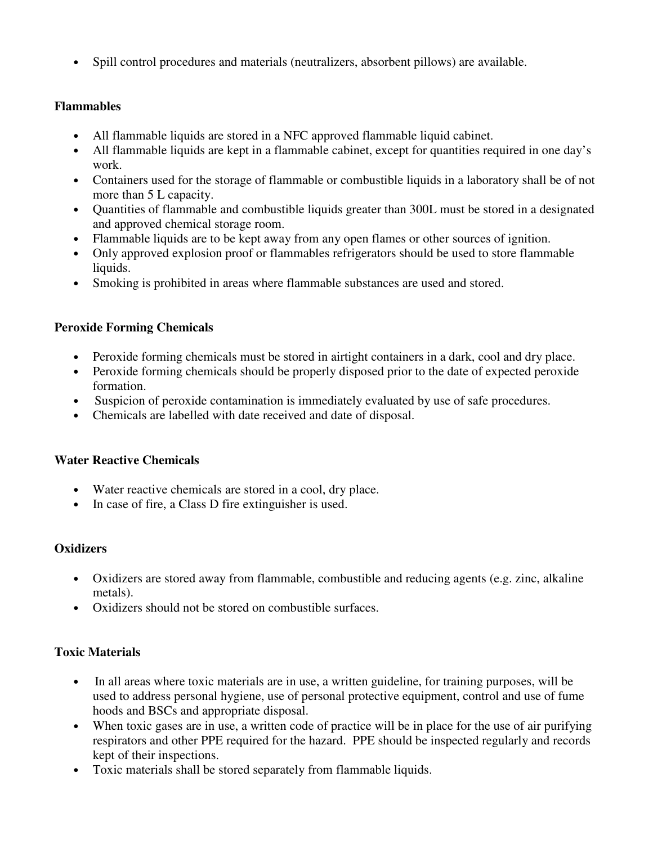• Spill control procedures and materials (neutralizers, absorbent pillows) are available.

## **Flammables**

- All flammable liquids are stored in a NFC approved flammable liquid cabinet.
- All flammable liquids are kept in a flammable cabinet, except for quantities required in one day's work.
- Containers used for the storage of flammable or combustible liquids in a laboratory shall be of not more than 5 L capacity.
- Quantities of flammable and combustible liquids greater than 300L must be stored in a designated and approved chemical storage room.
- Flammable liquids are to be kept away from any open flames or other sources of ignition.
- Only approved explosion proof or flammables refrigerators should be used to store flammable liquids.
- Smoking is prohibited in areas where flammable substances are used and stored.

# **Peroxide Forming Chemicals**

- Peroxide forming chemicals must be stored in airtight containers in a dark, cool and dry place.
- Peroxide forming chemicals should be properly disposed prior to the date of expected peroxide formation.
- Suspicion of peroxide contamination is immediately evaluated by use of safe procedures.
- Chemicals are labelled with date received and date of disposal.

# **Water Reactive Chemicals**

- Water reactive chemicals are stored in a cool, dry place.
- In case of fire, a Class D fire extinguisher is used.

# **Oxidizers**

- Oxidizers are stored away from flammable, combustible and reducing agents (e.g. zinc, alkaline metals).
- Oxidizers should not be stored on combustible surfaces.

# **Toxic Materials**

- In all areas where toxic materials are in use, a written guideline, for training purposes, will be used to address personal hygiene, use of personal protective equipment, control and use of fume hoods and BSCs and appropriate disposal.
- When toxic gases are in use, a written code of practice will be in place for the use of air purifying respirators and other PPE required for the hazard. PPE should be inspected regularly and records kept of their inspections.
- Toxic materials shall be stored separately from flammable liquids.